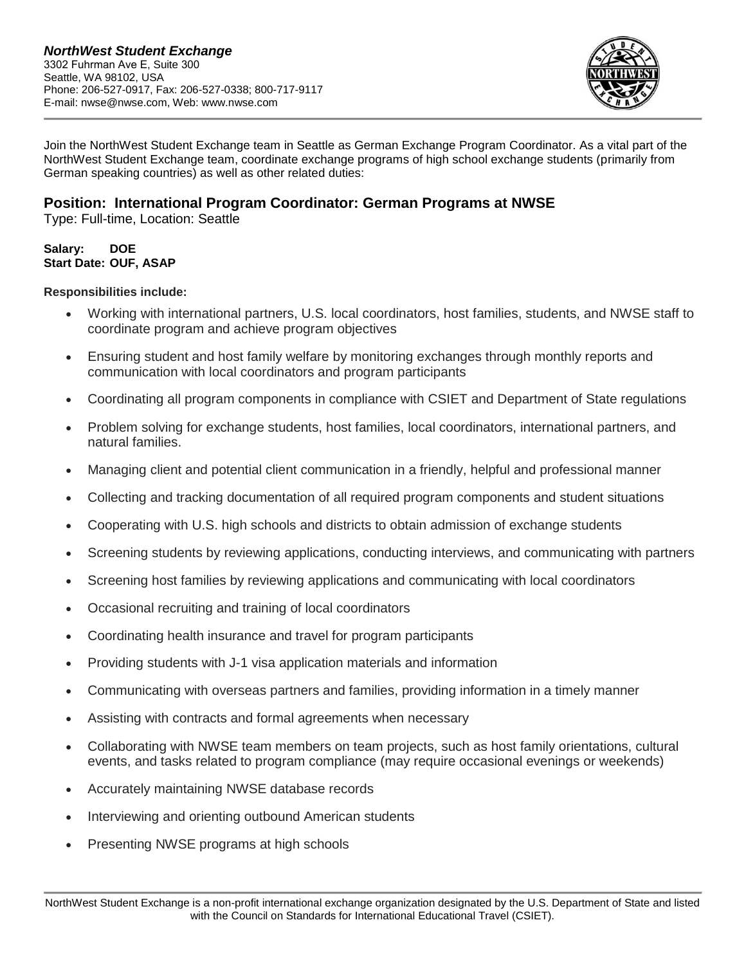

Join the NorthWest Student Exchange team in Seattle as German Exchange Program Coordinator. As a vital part of the NorthWest Student Exchange team, coordinate exchange programs of high school exchange students (primarily from German speaking countries) as well as other related duties:

# **Position: International Program Coordinator: German Programs at NWSE**

Type: Full-time, Location: Seattle

### **Salary: DOE Start Date: OUF, ASAP**

### **Responsibilities include:**

- Working with international partners, U.S. local coordinators, host families, students, and NWSE staff to coordinate program and achieve program objectives
- Ensuring student and host family welfare by monitoring exchanges through monthly reports and communication with local coordinators and program participants
- Coordinating all program components in compliance with CSIET and Department of State regulations
- Problem solving for exchange students, host families, local coordinators, international partners, and natural families.
- Managing client and potential client communication in a friendly, helpful and professional manner
- Collecting and tracking documentation of all required program components and student situations
- Cooperating with U.S. high schools and districts to obtain admission of exchange students
- Screening students by reviewing applications, conducting interviews, and communicating with partners
- Screening host families by reviewing applications and communicating with local coordinators
- Occasional recruiting and training of local coordinators
- Coordinating health insurance and travel for program participants
- Providing students with J-1 visa application materials and information
- Communicating with overseas partners and families, providing information in a timely manner
- Assisting with contracts and formal agreements when necessary
- Collaborating with NWSE team members on team projects, such as host family orientations, cultural events, and tasks related to program compliance (may require occasional evenings or weekends)
- Accurately maintaining NWSE database records
- Interviewing and orienting outbound American students
- Presenting NWSE programs at high schools